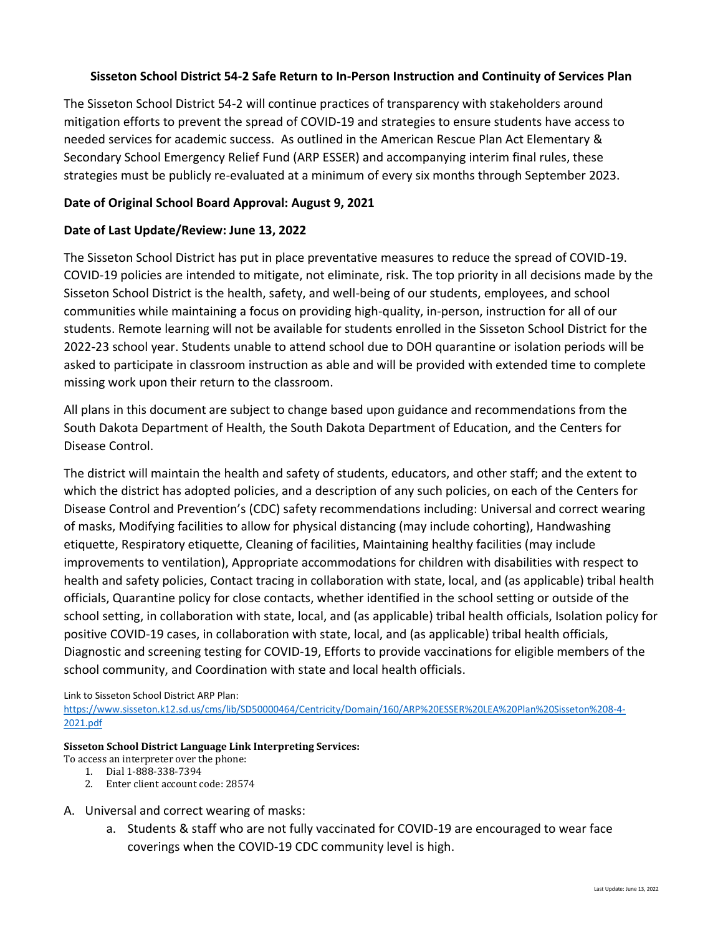### **Sisseton School District 54-2 Safe Return to In-Person Instruction and Continuity of Services Plan**

The Sisseton School District 54-2 will continue practices of transparency with stakeholders around mitigation efforts to prevent the spread of COVID-19 and strategies to ensure students have access to needed services for academic success. As outlined in the American Rescue Plan Act Elementary & Secondary School Emergency Relief Fund (ARP ESSER) and accompanying interim final rules, these strategies must be publicly re-evaluated at a minimum of every six months through September 2023.

### **Date of Original School Board Approval: August 9, 2021**

### **Date of Last Update/Review: June 13, 2022**

The Sisseton School District has put in place preventative measures to reduce the spread of COVID-19. COVID-19 policies are intended to mitigate, not eliminate, risk. The top priority in all decisions made by the Sisseton School District is the health, safety, and well-being of our students, employees, and school communities while maintaining a focus on providing high-quality, in-person, instruction for all of our students. Remote learning will not be available for students enrolled in the Sisseton School District for the 2022-23 school year. Students unable to attend school due to DOH quarantine or isolation periods will be asked to participate in classroom instruction as able and will be provided with extended time to complete missing work upon their return to the classroom.

All plans in this document are subject to change based upon guidance and recommendations from the South Dakota Department of Health, the South Dakota Department of Education, and the Centers for Disease Control.

The district will maintain the health and safety of students, educators, and other staff; and the extent to which the district has adopted policies, and a description of any such policies, on each of the Centers for Disease Control and Prevention's (CDC) safety recommendations including: Universal and correct wearing of masks, Modifying facilities to allow for physical distancing (may include cohorting), Handwashing etiquette, Respiratory etiquette, Cleaning of facilities, Maintaining healthy facilities (may include improvements to ventilation), Appropriate accommodations for children with disabilities with respect to health and safety policies, Contact tracing in collaboration with state, local, and (as applicable) tribal health officials, Quarantine policy for close contacts, whether identified in the school setting or outside of the school setting, in collaboration with state, local, and (as applicable) tribal health officials, Isolation policy for positive COVID-19 cases, in collaboration with state, local, and (as applicable) tribal health officials, Diagnostic and screening testing for COVID-19, Efforts to provide vaccinations for eligible members of the school community, and Coordination with state and local health officials.

### Link to Sisseton School District ARP Plan:

[https://www.sisseton.k12.sd.us/cms/lib/SD50000464/Centricity/Domain/160/ARP%20ESSER%20LEA%20Plan%20Sisseton%208-4-](https://www.sisseton.k12.sd.us/cms/lib/SD50000464/Centricity/Domain/160/ARP%20ESSER%20LEA%20Plan%20Sisseton%208-4-2021.pdf) [2021.pdf](https://www.sisseton.k12.sd.us/cms/lib/SD50000464/Centricity/Domain/160/ARP%20ESSER%20LEA%20Plan%20Sisseton%208-4-2021.pdf)

#### **Sisseton School District Language Link Interpreting Services:**

- To access an interpreter over the phone:
	- 1. Dial 1-888-338-7394
	- 2. Enter client account code: 28574

### A. Universal and correct wearing of masks:

a. Students & staff who are not fully vaccinated for COVID-19 are encouraged to wear face coverings when the COVID-19 CDC community level is high.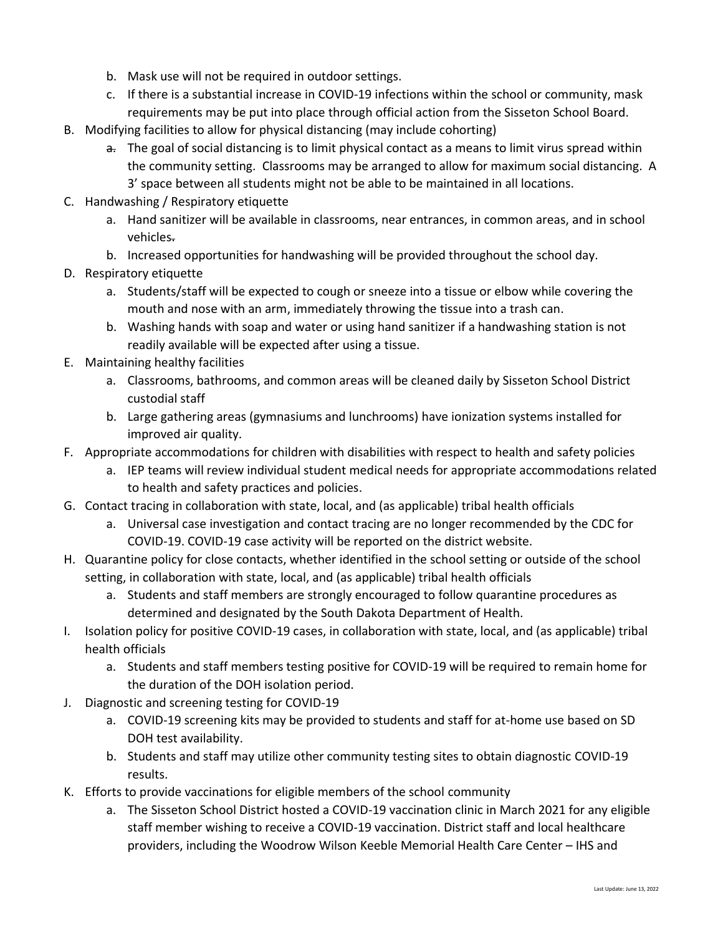- b. Mask use will not be required in outdoor settings.
- c. If there is a substantial increase in COVID-19 infections within the school or community, mask requirements may be put into place through official action from the Sisseton School Board.
- B. Modifying facilities to allow for physical distancing (may include cohorting)
	- a. The goal of social distancing is to limit physical contact as a means to limit virus spread within the community setting. Classrooms may be arranged to allow for maximum social distancing. A 3' space between all students might not be able to be maintained in all locations.
- C. Handwashing / Respiratory etiquette
	- a. Hand sanitizer will be available in classrooms, near entrances, in common areas, and in school vehicles.
	- b. Increased opportunities for handwashing will be provided throughout the school day.
- D. Respiratory etiquette
	- a. Students/staff will be expected to cough or sneeze into a tissue or elbow while covering the mouth and nose with an arm, immediately throwing the tissue into a trash can.
	- b. Washing hands with soap and water or using hand sanitizer if a handwashing station is not readily available will be expected after using a tissue.
- E. Maintaining healthy facilities
	- a. Classrooms, bathrooms, and common areas will be cleaned daily by Sisseton School District custodial staff
	- b. Large gathering areas (gymnasiums and lunchrooms) have ionization systems installed for improved air quality.
- F. Appropriate accommodations for children with disabilities with respect to health and safety policies
	- a. IEP teams will review individual student medical needs for appropriate accommodations related to health and safety practices and policies.
- G. Contact tracing in collaboration with state, local, and (as applicable) tribal health officials
	- a. Universal case investigation and contact tracing are no longer recommended by the CDC for COVID-19. COVID-19 case activity will be reported on the district website.
- H. Quarantine policy for close contacts, whether identified in the school setting or outside of the school setting, in collaboration with state, local, and (as applicable) tribal health officials
	- a. Students and staff members are strongly encouraged to follow quarantine procedures as determined and designated by the South Dakota Department of Health.
- I. Isolation policy for positive COVID-19 cases, in collaboration with state, local, and (as applicable) tribal health officials
	- a. Students and staff members testing positive for COVID-19 will be required to remain home for the duration of the DOH isolation period.
- J. Diagnostic and screening testing for COVID-19
	- a. COVID-19 screening kits may be provided to students and staff for at-home use based on SD DOH test availability.
	- b. Students and staff may utilize other community testing sites to obtain diagnostic COVID-19 results.
- K. Efforts to provide vaccinations for eligible members of the school community
	- a. The Sisseton School District hosted a COVID-19 vaccination clinic in March 2021 for any eligible staff member wishing to receive a COVID-19 vaccination. District staff and local healthcare providers, including the Woodrow Wilson Keeble Memorial Health Care Center – IHS and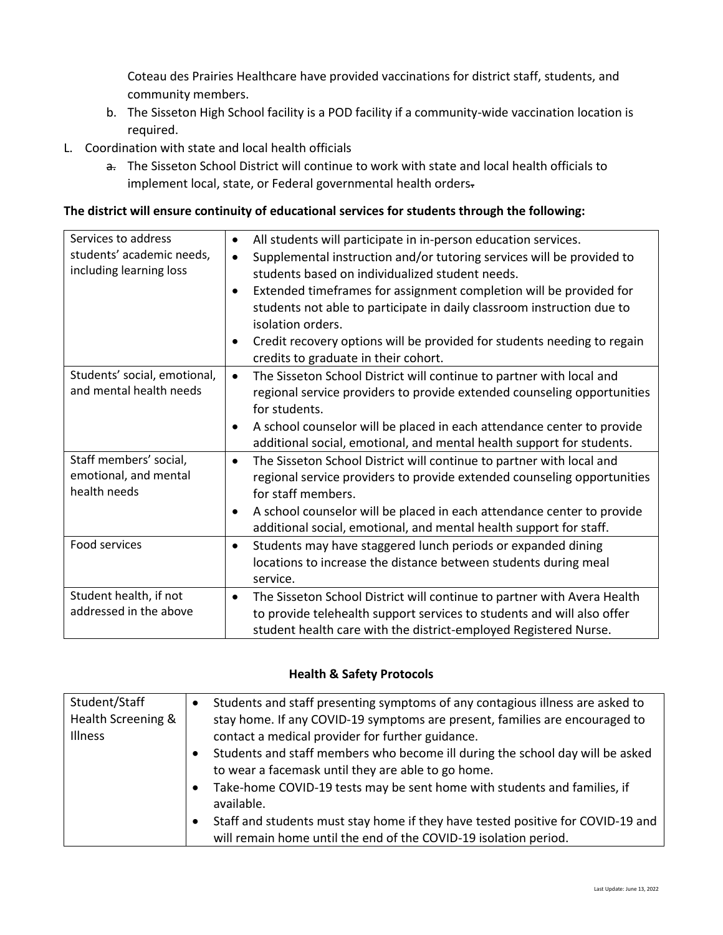Coteau des Prairies Healthcare have provided vaccinations for district staff, students, and community members.

- b. The Sisseton High School facility is a POD facility if a community-wide vaccination location is required.
- L. Coordination with state and local health officials
	- a. The Sisseton School District will continue to work with state and local health officials to implement local, state, or Federal governmental health orders-

### **The district will ensure continuity of educational services for students through the following:**

| Services to address                   | All students will participate in in-person education services.<br>$\bullet$          |
|---------------------------------------|--------------------------------------------------------------------------------------|
| students' academic needs,             | Supplemental instruction and/or tutoring services will be provided to<br>$\bullet$   |
| including learning loss               | students based on individualized student needs.                                      |
|                                       | Extended timeframes for assignment completion will be provided for<br>$\bullet$      |
|                                       | students not able to participate in daily classroom instruction due to               |
|                                       | isolation orders.                                                                    |
|                                       | Credit recovery options will be provided for students needing to regain<br>$\bullet$ |
|                                       | credits to graduate in their cohort.                                                 |
| Students' social, emotional,          | The Sisseton School District will continue to partner with local and<br>$\bullet$    |
| and mental health needs               | regional service providers to provide extended counseling opportunities              |
|                                       | for students.                                                                        |
|                                       | A school counselor will be placed in each attendance center to provide<br>$\bullet$  |
|                                       | additional social, emotional, and mental health support for students.                |
| Staff members' social,                | The Sisseton School District will continue to partner with local and<br>$\bullet$    |
| emotional, and mental<br>health needs | regional service providers to provide extended counseling opportunities              |
|                                       | for staff members.                                                                   |
|                                       | A school counselor will be placed in each attendance center to provide<br>$\bullet$  |
|                                       | additional social, emotional, and mental health support for staff.                   |
| Food services                         | Students may have staggered lunch periods or expanded dining<br>$\bullet$            |
|                                       | locations to increase the distance between students during meal                      |
|                                       | service.                                                                             |
| Student health, if not                | The Sisseton School District will continue to partner with Avera Health<br>$\bullet$ |
| addressed in the above                | to provide telehealth support services to students and will also offer               |
|                                       | student health care with the district-employed Registered Nurse.                     |

### **Health & Safety Protocols**

| Student/Staff      | Students and staff presenting symptoms of any contagious illness are asked to                |
|--------------------|----------------------------------------------------------------------------------------------|
| Health Screening & | stay home. If any COVID-19 symptoms are present, families are encouraged to                  |
| <b>Illness</b>     | contact a medical provider for further guidance.                                             |
|                    | Students and staff members who become ill during the school day will be asked                |
|                    | to wear a facemask until they are able to go home.                                           |
|                    | Take-home COVID-19 tests may be sent home with students and families, if<br>$\bullet$        |
|                    | available.                                                                                   |
|                    | Staff and students must stay home if they have tested positive for COVID-19 and<br>$\bullet$ |
|                    | will remain home until the end of the COVID-19 isolation period.                             |